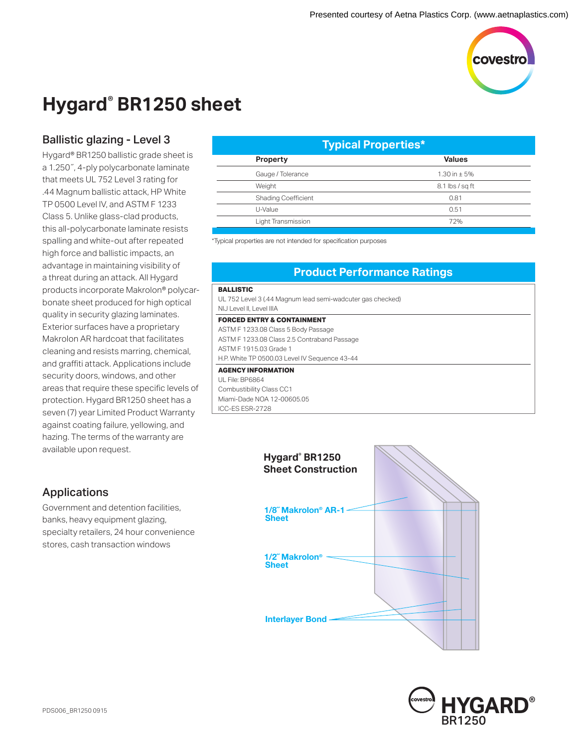

# **Hygard® BR1250 sheet**

## Ballistic glazing - Level 3

Hygard® BR1250 ballistic grade sheet is a 1.250˝, 4-ply polycarbonate laminate that meets UL 752 Level 3 rating for .44 Magnum ballistic attack, HP White TP 0500 Level lV, and ASTM F 1233 Class 5. Unlike glass-clad products, this all-polycarbonate laminate resists spalling and white-out after repeated high force and ballistic impacts, an advantage in maintaining visibility of a threat during an attack. All Hygard products incorporate Makrolon® polycarbonate sheet produced for high optical quality in security glazing laminates. Exterior surfaces have a proprietary Makrolon AR hardcoat that facilitates cleaning and resists marring, chemical, and graffiti attack. Applications include security doors, windows, and other areas that require these specific levels of protection. Hygard BR1250 sheet has a seven (7) year Limited Product Warranty against coating failure, yellowing, and hazing. The terms of the warranty are available upon request.

| <b>Typical Properties*</b> |                   |
|----------------------------|-------------------|
| <b>Property</b>            | <b>Values</b>     |
| Gauge / Tolerance          | 1.30 in $\pm$ 5%  |
| Weight                     | $8.1$ lbs / sq ft |
| <b>Shading Coefficient</b> | 0.81              |
| U-Value                    | 0.51              |
| Light Transmission         | 72%               |
|                            |                   |

\*Typical properties are not intended for specification purposes

### **Product Performance Ratings**

#### **BALLISTIC**

UL 752 Level 3 (.44 Magnum lead semi-wadcuter gas checked) NIJ Level II, Level IIIA

#### **FORCED ENTRY & CONTAINMENT**

ASTM F 1233.08 Class 5 Body Passage ASTM F 1233.08 Class 2.5 Contraband Passage ASTM F 1915.03 Grade 1 H.P. White TP 0500.03 Level IV Sequence 43-44 **AGENCY INFORMATION**

UL File: BP6864 Combustibility Class CC1 Miami-Dade NOA 12-00605.05 ICC-ES ESR-2728





### Applications

Government and detention facilities, banks, heavy equipment glazing, specialty retailers, 24 hour convenience stores, cash transaction windows